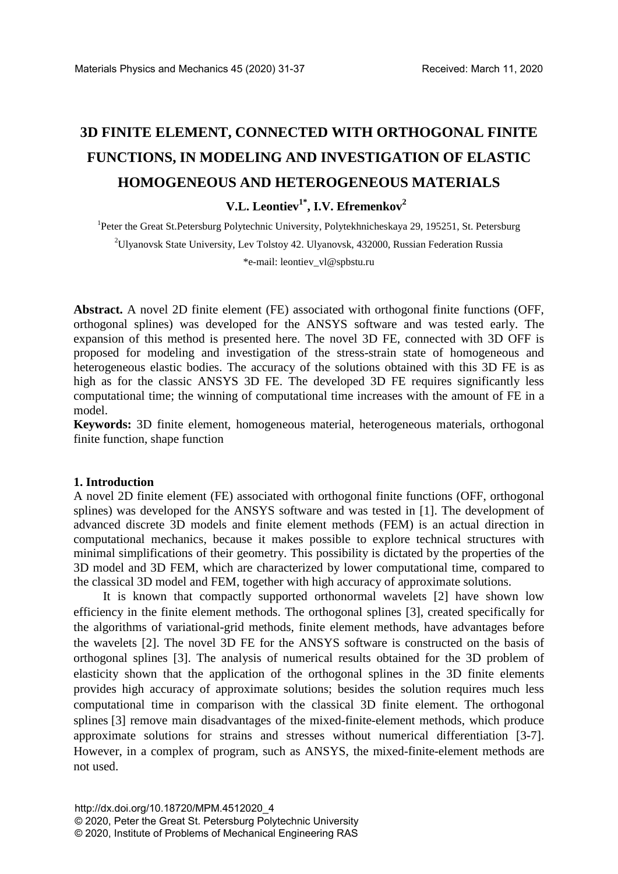# **3D FINITE ELEMENT, CONNECTED WITH ORTHOGONAL FINITE FUNCTIONS, IN MODELING AND INVESTIGATION OF ELASTIC HOMOGENEOUS AND HETEROGENEOUS MATERIALS**

**V.L.** Leontiev<sup>1\*</sup>, I.V. **Efremenkov**<sup>2</sup>

<sup>1</sup>Peter the Great St.Petersburg Polytechnic University, Polytekhnicheskaya 29, 195251, St. Petersburg <sup>2</sup>Ulyanovsk State University, Lev Tolstoy 42. Ulyanovsk, 432000, Russian Federation Russia \*e-mail: leontiev\_vl@spbstu.ru

**Abstract.** A novel 2D finite element (FE) associated with orthogonal finite functions (OFF, orthogonal splines) was developed for the ANSYS software and was tested early. The expansion of this method is presented here. The novel 3D FE, connected with 3D OFF is proposed for modeling and investigation of the stress-strain state of homogeneous and heterogeneous elastic bodies. The accuracy of the solutions obtained with this 3D FE is as high as for the classic ANSYS 3D FE. The developed 3D FE requires significantly less computational time; the winning of computational time increases with the amount of FE in a model.

**Keywords:** 3D finite element, homogeneous material, heterogeneous materials, orthogonal finite function, shape function

### **1. Introduction**

A novel 2D finite element (FE) associated with orthogonal finite functions (OFF, orthogonal splines) was developed for the ANSYS software and was tested in [1]. The development of advanced discrete 3D models and finite element methods (FEM) is an actual direction in computational mechanics, because it makes possible to explore technical structures with minimal simplifications of their geometry. This possibility is dictated by the properties of the 3D model and 3D FEM, which are characterized by lower computational time, compared to the classical 3D model and FEM, together with high accuracy of approximate solutions.

It is known that compactly supported orthonormal wavelets [2] have shown low efficiency in the finite element methods. The orthogonal splines [3], created specifically for the algorithms of variational-grid methods, finite element methods, have advantages before the wavelets [2]. The novel 3D FE for the ANSYS software is constructed on the basis of orthogonal splines [3]. The analysis of numerical results obtained for the 3D problem of elasticity shown that the application of the orthogonal splines in the 3D finite elements provides high accuracy of approximate solutions; besides the solution requires much less computational time in comparison with the classical 3D finite element. The orthogonal splines [3] remove main disadvantages of the mixed-finite-element methods, which produce approximate solutions for strains and stresses without numerical differentiation [3-7]. However, in a complex of program, such as ANSYS, the mixed-finite-element methods are not used.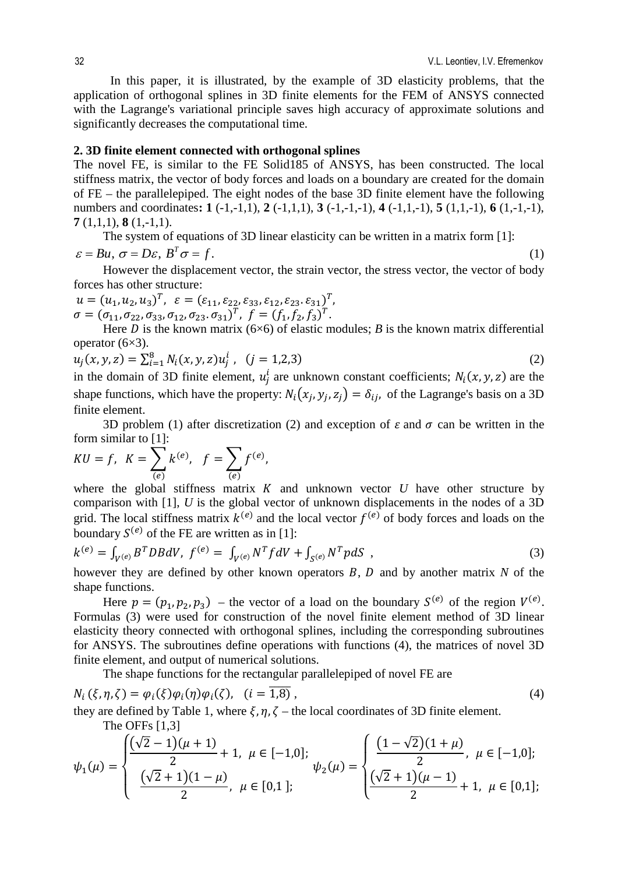In this paper, it is illustrated, by the example of 3D elasticity problems, that the application of orthogonal splines in 3D finite elements for the FEM of ANSYS connected with the Lagrange's variational principle saves high accuracy of approximate solutions and significantly decreases the computational time.

#### **2. 3D finite element connected with orthogonal splines**

The novel FE, is similar to the FE Solid185 of ANSYS, has been constructed. The local stiffness matrix, the vector of body forces and loads on a boundary are created for the domain of FE – the parallelepiped. The eight nodes of the base 3D finite element have the following numbers and coordinates**: 1** (-1,-1,1), **2** (-1,1,1), **3** (-1,-1,-1), **4** (-1,1,-1), **5** (1,1,-1), **6** (1,-1,-1), **7** (1,1,1), **8** (1,-1,1).

The system of equations of 3D linear elasticity can be written in a matrix form [1]:

$$
\varepsilon = Bu, \sigma = D\varepsilon, B^T \sigma = f. \tag{1}
$$

However the displacement vector, the strain vector, the stress vector, the vector of body forces has other structure:

$$
u = (u_1, u_2, u_3)^T, \varepsilon = (\varepsilon_{11}, \varepsilon_{22}, \varepsilon_{33}, \varepsilon_{12}, \varepsilon_{23}, \varepsilon_{31})^T, \sigma = (\sigma_{11}, \sigma_{22}, \sigma_{33}, \sigma_{12}, \sigma_{23}, \sigma_{31})^T, f = (f_1, f_2, f_3)^T.
$$

Here *D* is the known matrix (6×6) of elastic modules; *B* is the known matrix differential operator (6×3).

$$
u_j(x, y, z) = \sum_{i=1}^{8} N_i(x, y, z) u_j^i, \quad (j = 1, 2, 3)
$$
 (2)

in the domain of 3D finite element,  $u_j^l$  are unknown constant coefficients;  $N_i(x, y, z)$  are the shape functions, which have the property:  $N_i(x_i, y_i, z_i) = \delta_{ij}$ , of the Lagrange's basis on a 3D finite element.

3D problem (1) after discretization (2) and exception of  $\varepsilon$  and  $\sigma$  can be written in the form similar to [1]:

$$
KU = f, \ \ K = \sum_{(e)} k^{(e)}, \ \ f = \sum_{(e)} f^{(e)},
$$

where the global stiffness matrix  $K$  and unknown vector  $U$  have other structure by comparison with [1], *U* is the global vector of unknown displacements in the nodes of a 3D grid. The local stiffness matrix  $k^{(e)}$  and the local vector  $f^{(e)}$  of body forces and loads on the boundary  $S^{(e)}$  of the FE are written as in [1]:

$$
k^{(e)} = \int_{V^{(e)}} B^T DB dV, \ f^{(e)} = \int_{V^{(e)}} N^T f dV + \int_{S^{(e)}} N^T p dS \tag{3}
$$

however they are defined by other known operators  $B$ ,  $D$  and by another matrix  $N$  of the shape functions.

Here  $p = (p_1, p_2, p_3)$  – the vector of a load on the boundary  $S^{(e)}$  of the region  $V^{(e)}$ . Formulas (3) were used for construction of the novel finite element method of 3D linear elasticity theory connected with orthogonal splines, including the corresponding subroutines for ANSYS. The subroutines define operations with functions (4), the matrices of novel 3D finite element, and output of numerical solutions.

The shape functions for the rectangular parallelepiped of novel FE are

$$
N_i(\xi, \eta, \zeta) = \varphi_i(\xi)\varphi_i(\eta)\varphi_i(\zeta), \quad (i = \overline{1, 8)},
$$
  
they are defined by Table 1, where  $\xi$   $\eta$   $\zeta$ , the local coordinates of 3D finite element. (4)

they are defined by Table 1, where  $\xi$ ,  $\eta$ ,  $\zeta$  – the local coordinates of 3D finite element. The OFFs [1,3]

$$
\psi_1(\mu) = \begin{cases}\n\frac{(\sqrt{2}-1)(\mu+1)}{2} + 1, & \mu \in [-1,0]; \\
\frac{(\sqrt{2}+1)(1-\mu)}{2}, & \mu \in [0,1];\n\end{cases}\n\psi_2(\mu) = \begin{cases}\n\frac{(1-\sqrt{2})(1+\mu)}{2}, & \mu \in [-1,0]; \\
\frac{(\sqrt{2}+1)(\mu-1)}{2} + 1, & \mu \in [0,1];\n\end{cases}
$$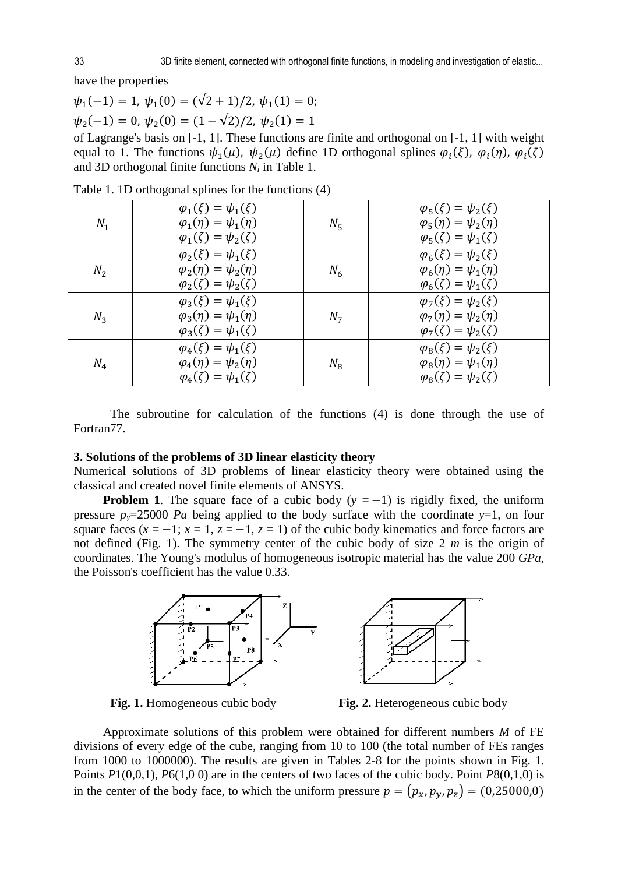have the properties

$$
\psi_1(-1) = 1
$$
,  $\psi_1(0) = (\sqrt{2} + 1)/2$ ,  $\psi_1(1) = 0$ ;  
 $\psi_2(-1) = 0$ ,  $\psi_2(0) = (1 - \sqrt{2})/2$ ,  $\psi_2(1) = 1$ 

of Lagrange's basis on [-1, 1]. These functions are finite and orthogonal on [-1, 1] with weight equal to 1. The functions  $\psi_1(\mu)$ ,  $\psi_2(\mu)$  define 1D orthogonal splines  $\varphi_i(\xi)$ ,  $\varphi_i(\eta)$ ,  $\varphi_i(\zeta)$ and 3D orthogonal finite functions *Ni* in Table 1.

| $N_1$ | $\varphi_1(\xi) = \psi_1(\xi)$<br>$\varphi_1(\eta) = \psi_1(\eta)$<br>$\varphi_1(\zeta) = \psi_2(\zeta)$ | $N_{5}$        | $\varphi_5(\xi) = \psi_2(\xi)$<br>$\varphi_5(\eta) = \psi_2(\eta)$<br>$\varphi_5(\zeta) = \psi_1(\zeta)$ |
|-------|----------------------------------------------------------------------------------------------------------|----------------|----------------------------------------------------------------------------------------------------------|
| $N_2$ | $\varphi_2(\xi) = \psi_1(\xi)$<br>$\varphi_2(\eta) = \psi_2(\eta)$<br>$\varphi_2(\zeta) = \psi_2(\zeta)$ | $N_6$          | $\varphi_6(\xi) = \psi_2(\xi)$<br>$\varphi_6(\eta) = \psi_1(\eta)$<br>$\varphi_6(\zeta) = \psi_1(\zeta)$ |
| $N_3$ | $\varphi_3(\xi) = \psi_1(\xi)$<br>$\varphi_3(\eta) = \psi_1(\eta)$<br>$\varphi_3(\zeta) = \psi_1(\zeta)$ | N <sub>7</sub> | $\varphi_7(\xi) = \psi_2(\xi)$<br>$\varphi_7(\eta) = \psi_2(\eta)$<br>$\varphi_7(\zeta) = \psi_2(\zeta)$ |
| $N_4$ | $\varphi_4(\xi) = \psi_1(\xi)$<br>$\varphi_4(\eta) = \psi_2(\eta)$<br>$\varphi_4(\zeta) = \psi_1(\zeta)$ | $N_{\rm B}$    | $\varphi_8(\xi) = \psi_2(\xi)$<br>$\varphi_8(\eta) = \psi_1(\eta)$<br>$\varphi_8(\zeta) = \psi_2(\zeta)$ |

Table 1. 1D orthogonal splines for the functions (4)

The subroutine for calculation of the functions (4) is done through the use of Fortran77.

#### **3. Solutions of the problems of 3D linear elasticity theory**

Numerical solutions of 3D problems of linear elasticity theory were obtained using the classical and created novel finite elements of ANSYS.

**Problem 1.** The square face of a cubic body  $(y = -1)$  is rigidly fixed, the uniform pressure  $p_y=25000$  *Pa* being applied to the body surface with the coordinate  $y=1$ , on four square faces  $(x = -1; x = 1, z = -1, z = 1)$  of the cubic body kinematics and force factors are not defined (Fig. 1). The symmetry center of the cubic body of size 2 *m* is the origin of coordinates. The Young's modulus of homogeneous isotropic material has the value 200 *GPa*, the Poisson's coefficient has the value 0.33.



**Fig. 1.** Homogeneous cubic body **Fig. 2.** Heterogeneous cubic body

Approximate solutions of this problem were obtained for different numbers *M* of FE divisions of every edge of the cube, ranging from 10 to 100 (the total number of FEs ranges from 1000 to 1000000). The results are given in Tables 2-8 for the points shown in Fig. 1. Points *P*1(0,0,1), *P*6(1,0 0) are in the centers of two faces of the cubic body. Point *P*8(0,1,0) is in the center of the body face, to which the uniform pressure  $p = (p_x, p_y, p_z) = (0.25000, 0)$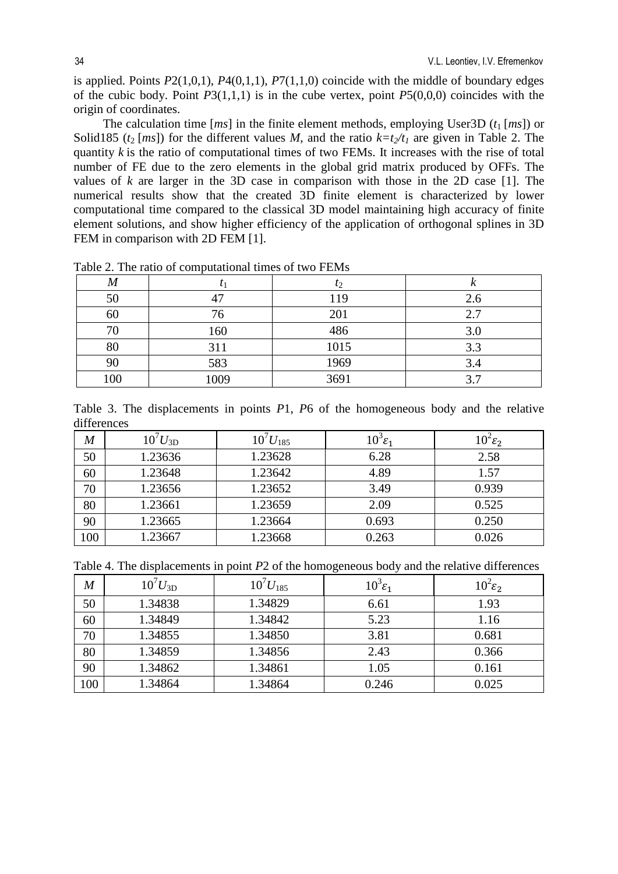is applied. Points *P*2(1,0,1), *P*4(0,1,1), *P*7(1,1,0) coincide with the middle of boundary edges of the cubic body. Point *P*3(1,1,1) is in the cube vertex, point *P*5(0,0,0) coincides with the origin of coordinates.

The calculation time  $[ms]$  in the finite element methods, employing User3D  $(t_1 [ms])$  or Solid185 ( $t_2$  [*ms*]) for the different values *M*, and the ratio  $k=t_2/t_1$  are given in Table 2. The quantity *k* is the ratio of computational times of two FEMs. It increases with the rise of total number of FE due to the zero elements in the global grid matrix produced by OFFs. The values of  $k$  are larger in the 3D case in comparison with those in the 2D case [1]. The numerical results show that the created 3D finite element is characterized by lower computational time compared to the classical 3D model maintaining high accuracy of finite element solutions, and show higher efficiency of the application of orthogonal splines in 3D FEM in comparison with 2D FEM [1].

| $\bm{M}$ |      | $t_2$ |     |
|----------|------|-------|-----|
| 50       |      | 119   | 2.6 |
| 60       | 76   | 201   | 2.7 |
| 70       | 160  | 486   | 3.0 |
| 80       | 311  | 1015  | 3.3 |
| 90       | 583  | 1969  | 3.4 |
| 100      | 1009 | 3691  | 3.7 |

Table 2. The ratio of computational times of two FEMs

|             |  | Table 3. The displacements in points $P1$ , $P6$ of the homogeneous body and the relative |  |  |  |  |  |  |
|-------------|--|-------------------------------------------------------------------------------------------|--|--|--|--|--|--|
| differences |  |                                                                                           |  |  |  |  |  |  |

| M   | $10^7 U_{3D}$ | $10^7 U_{185}$ | $10^3$ $\varepsilon_1$ | $10^2 \varepsilon_2$ |
|-----|---------------|----------------|------------------------|----------------------|
| 50  | 1.23636       | 1.23628        | 6.28                   | 2.58                 |
| 60  | 1.23648       | 1.23642        | 4.89                   | 1.57                 |
| 70  | 1.23656       | 1.23652        | 3.49                   | 0.939                |
| 80  | 1.23661       | 1.23659        | 2.09                   | 0.525                |
| 90  | 1.23665       | 1.23664        | 0.693                  | 0.250                |
| 100 | 1.23667       | .23668         | 0.263                  | 0.026                |

Table 4. The displacements in point *P*2 of the homogeneous body and the relative differences

| M   | $10^7 U_{3D}$ | $10^7 U_{185}$ | $10^3 \varepsilon_1$ | $10^2 \varepsilon_2$ |
|-----|---------------|----------------|----------------------|----------------------|
| 50  | 1.34838       | 1.34829        | 6.61                 | 1.93                 |
| 60  | 1.34849       | 1.34842        | 5.23                 | 1.16                 |
| 70  | 1.34855       | 1.34850        | 3.81                 | 0.681                |
| 80  | 1.34859       | 1.34856        | 2.43                 | 0.366                |
| 90  | 1.34862       | 1.34861        | 1.05                 | 0.161                |
| 100 | 1.34864       | 1.34864        | 0.246                | 0.025                |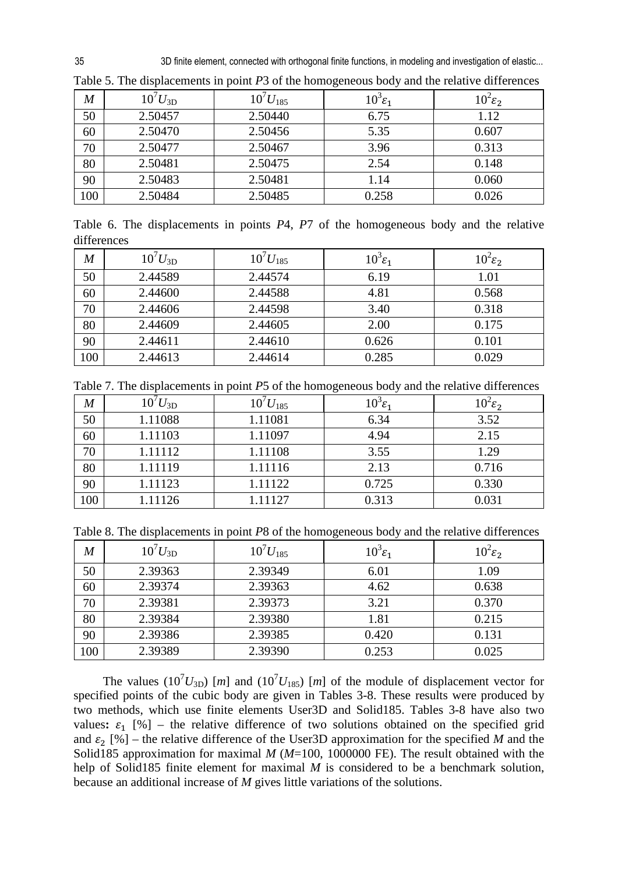35 3D finite element, connected with orthogonal finite functions, in modeling and investigation of elastic...

| M   | $10^{7} U_{3D}$ | $10^7 U_{185}$ | $10^3$ $\varepsilon_1$ | $10^2 \varepsilon_2$ |
|-----|-----------------|----------------|------------------------|----------------------|
| 50  | 2.50457         | 2.50440        | 6.75                   | 1.12                 |
| 60  | 2.50470         | 2.50456        | 5.35                   | 0.607                |
| 70  | 2.50477         | 2.50467        | 3.96                   | 0.313                |
| 80  | 2.50481         | 2.50475        | 2.54                   | 0.148                |
| 90  | 2.50483         | 2.50481        | 1.14                   | 0.060                |
| 100 | 2.50484         | 2.50485        | 0.258                  | 0.026                |

Table 5. The displacements in point *P*3 of the homogeneous body and the relative differences

Table 6. The displacements in points *P*4, *P*7 of the homogeneous body and the relative differences

| $\bm{M}$ | $10^7 U_{3D}$ | $10^7 U_{185}$ | $10^3$ $\varepsilon_1$ | $10^2 \varepsilon_2$ |
|----------|---------------|----------------|------------------------|----------------------|
| 50       | 2.44589       | 2.44574        | 6.19                   | 1.01                 |
| 60       | 2.44600       | 2.44588        | 4.81                   | 0.568                |
| 70       | 2.44606       | 2.44598        | 3.40                   | 0.318                |
| 80       | 2.44609       | 2.44605        | 2.00                   | 0.175                |
| 90       | 2.44611       | 2.44610        | 0.626                  | 0.101                |
| 100      | 2.44613       | 2.44614        | 0.285                  | 0.029                |

Table 7. The displacements in point *P*5 of the homogeneous body and the relative differences

| $\bm{M}$ | $10^{\prime} U_{3D}$ | $10^7 U_{185}$ | $10^3$ $\varepsilon_1$ | $10^2 \varepsilon_2$ |
|----------|----------------------|----------------|------------------------|----------------------|
| 50       | 1.11088              | 1.11081        | 6.34                   | 3.52                 |
| 60       | 1.11103              | 1.11097        | 4.94                   | 2.15                 |
| 70       | 1.11112              | 1.11108        | 3.55                   | 1.29                 |
| 80       | 1.11119              | 1.11116        | 2.13                   | 0.716                |
| 90       | 1.11123              | 1.11122        | 0.725                  | 0.330                |
| 100      | 1.11126              | 1.11127        | 0.313                  | 0.031                |

Table 8. The displacements in point *P*8 of the homogeneous body and the relative differences

| M   | $10^7 U_{3D}$ | $10^7 U_{185}$ | $10^3 \varepsilon_1$ | $10^2 \varepsilon_2$ |
|-----|---------------|----------------|----------------------|----------------------|
| 50  | 2.39363       | 2.39349        | 6.01                 | 1.09                 |
| 60  | 2.39374       | 2.39363        | 4.62                 | 0.638                |
| 70  | 2.39381       | 2.39373        | 3.21                 | 0.370                |
| 80  | 2.39384       | 2.39380        | 1.81                 | 0.215                |
| 90  | 2.39386       | 2.39385        | 0.420                | 0.131                |
| 100 | 2.39389       | 2.39390        | 0.253                | 0.025                |

The values ( $10^7 U_{3D}$ ) [*m*] and ( $10^7 U_{185}$ ) [*m*] of the module of displacement vector for specified points of the cubic body are given in Tables 3-8. These results were produced by two methods, which use finite elements User3D and Solid185. Tables 3-8 have also two values:  $\varepsilon_1$  [%] – the relative difference of two solutions obtained on the specified grid and  $\varepsilon_2$  [%] – the relative difference of the User3D approximation for the specified *M* and the Solid185 approximation for maximal *M* (*M*=100, 1000000 FE). The result obtained with the help of Solid185 finite element for maximal *M* is considered to be a benchmark solution, because an additional increase of *M* gives little variations of the solutions.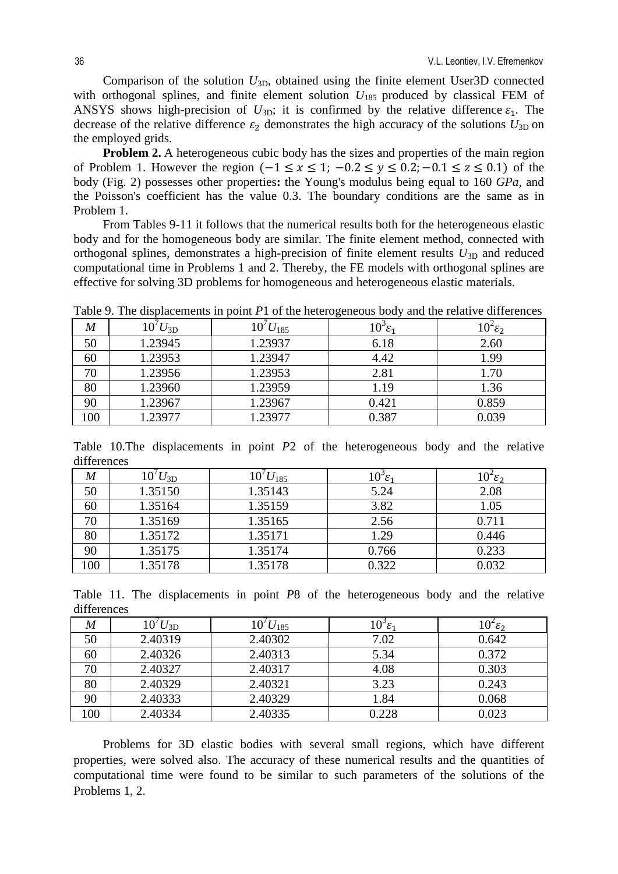Comparison of the solution *U*3D, obtained using the finite element User3D connected with orthogonal splines, and finite element solution  $U_{185}$  produced by classical FEM of ANSYS shows high-precision of  $U_{3D}$ ; it is confirmed by the relative difference  $\varepsilon_1$ . The decrease of the relative difference  $\varepsilon_2$  demonstrates the high accuracy of the solutions  $U_{3D}$  on the employed grids.

**Problem 2.** A heterogeneous cubic body has the sizes and properties of the main region of Problem 1. However the region  $(-1 \le x \le 1; -0.2 \le y \le 0.2; -0.1 \le z \le 0.1)$  of the body (Fig. 2) possesses other properties**:** the Young's modulus being equal to 160 *GPa*, and the Poisson's coefficient has the value 0.3. The boundary conditions are the same as in Problem 1.

From Tables 9-11 it follows that the numerical results both for the heterogeneous elastic body and for the homogeneous body are similar. The finite element method, connected with orthogonal splines, demonstrates a high-precision of finite element results  $U_{3D}$  and reduced computational time in Problems 1 and 2. Thereby, the FE models with orthogonal splines are effective for solving 3D problems for homogeneous and heterogeneous elastic materials.

Table 9. The displacements in point *P*1 of the heterogeneous body and the relative differences

|     | $\mathbf{r}$            | . .            | $\tilde{}$             |                     |
|-----|-------------------------|----------------|------------------------|---------------------|
| M   | $10^{\prime}U_{\rm 3D}$ | $10^7 U_{185}$ | $10^3$ $\varepsilon_1$ | $10^2\varepsilon_2$ |
| 50  | 1.23945                 | 1.23937        | 6.18                   | 2.60                |
| 60  | 1.23953                 | 1.23947        | 4.42                   | 1.99                |
| 70  | 1.23956                 | 1.23953        | 2.81                   | 1.70                |
| 80  | 1.23960                 | 1.23959        | 1.19                   | 1.36                |
| 90  | 1.23967                 | 1.23967        | 0.421                  | 0.859               |
| 100 | 1.23977                 | .23977         | 0.387                  | 0.039               |

Table 10.The displacements in point *P*2 of the heterogeneous body and the relative differences

| M   | $10'U_{3D}$ | $10^{\prime}U_{185}$ | $10^{\circ}\varepsilon_1$ | $10^{\circ}\varepsilon_2$ |
|-----|-------------|----------------------|---------------------------|---------------------------|
| 50  | 1.35150     | 1.35143              | 5.24                      | 2.08                      |
| 60  | 1.35164     | 1.35159              | 3.82                      | 1.05                      |
| 70  | 1.35169     | 1.35165              | 2.56                      | 0.711                     |
| 80  | 1.35172     | 1.35171              | 1.29                      | 0.446                     |
| 90  | 1.35175     | 1.35174              | 0.766                     | 0.233                     |
| 100 | 1.35178     | 1.35178              | 0.322                     | 0.032                     |

Table 11. The displacements in point *P*8 of the heterogeneous body and the relative differences

| M   | $10' U_{3D}$ | $10' U_{185}$ | $10^{\circ}$ E | $10^{\circ}\varepsilon_2$ |
|-----|--------------|---------------|----------------|---------------------------|
| 50  | 2.40319      | 2.40302       | 7.02           | 0.642                     |
| 60  | 2.40326      | 2.40313       | 5.34           | 0.372                     |
| 70  | 2.40327      | 2.40317       | 4.08           | 0.303                     |
| 80  | 2.40329      | 2.40321       | 3.23           | 0.243                     |
| 90  | 2.40333      | 2.40329       | 1.84           | 0.068                     |
| 100 | 2.40334      | 2.40335       | 0.228          | 0.023                     |

Problems for 3D elastic bodies with several small regions, which have different properties, were solved also. The accuracy of these numerical results and the quantities of computational time were found to be similar to such parameters of the solutions of the Problems 1, 2.